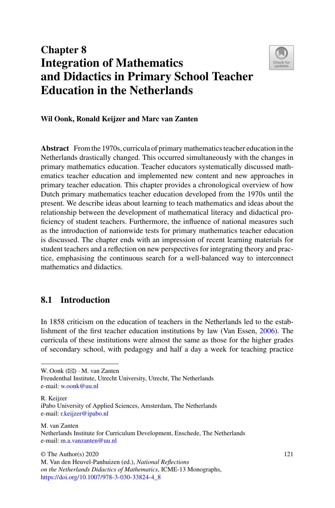# **Chapter 8 Integration of Mathematics and Didactics in Primary School Teacher Education in the Netherlands**



**Wil Oonk, Ronald Keijzer and Marc van Zanten**

**Abstract** From the 1970s, curricula of primary mathematics teacher education in the Netherlands drastically changed. This occurred simultaneously with the changes in primary mathematics education. Teacher educators systematically discussed mathematics teacher education and implemented new content and new approaches in primary teacher education. This chapter provides a chronological overview of how Dutch primary mathematics teacher education developed from the 1970s until the present. We describe ideas about learning to teach mathematics and ideas about the relationship between the development of mathematical literacy and didactical proficiency of student teachers. Furthermore, the influence of national measures such as the introduction of nationwide tests for primary mathematics teacher education is discussed. The chapter ends with an impression of recent learning materials for student teachers and a reflection on new perspectives for integrating theory and practice, emphasising the continuous search for a well-balanced way to interconnect mathematics and didactics.

## **8.1 Introduction**

In 1858 criticism on the education of teachers in the Netherlands led to the establishment of the first teacher education institutions by law (Van Essen, [2006\)](#page-24-0). The curricula of these institutions were almost the same as those for the higher grades of secondary school, with pedagogy and half a day a week for teaching practice

W. Oonk  $(\boxtimes) \cdot M$ . van Zanten

Freudenthal Institute, Utrecht University, Utrecht, The Netherlands e-mail: [w.oonk@uu.nl](mailto:w.oonk@uu.nl)

R. Keijzer iPabo University of Applied Sciences, Amsterdam, The Netherlands e-mail: [r.keijzer@ipabo.nl](mailto:r.keijzer@ipabo.nl)

#### M. van Zanten Netherlands Institute for Curriculum Development, Enschede, The Netherlands e-mail: [m.a.vanzanten@uu.nl](mailto:m.a.vanzanten@uu.nl)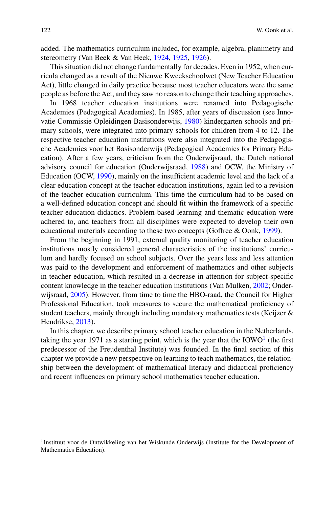added. The mathematics curriculum included, for example, algebra, planimetry and stereometry (Van Beek & Van Heek, [1924,](#page-23-0) [1925,](#page-23-1) [1926\)](#page-23-2).

This situation did not change fundamentally for decades. Even in 1952, when curricula changed as a result of the Nieuwe Kweekschoolwet (New Teacher Education Act), little changed in daily practice because most teacher educators were the same people as before the Act, and they saw no reason to change their teaching approaches.

In 1968 teacher education institutions were renamed into Pedagogische Academies (Pedagogical Academies). In 1985, after years of discussion (see Innovatie Commissie Opleidingen Basisonderwijs, [1980\)](#page-21-0) kindergarten schools and primary schools, were integrated into primary schools for children from 4 to 12. The respective teacher education institutions were also integrated into the Pedagogische Academies voor het Basisonderwijs (Pedagogical Academies for Primary Education). After a few years, criticism from the Onderwijsraad, the Dutch national advisory council for education (Onderwijsraad, [1988\)](#page-22-0) and OCW, the Ministry of Education (OCW, [1990\)](#page-22-1), mainly on the insufficient academic level and the lack of a clear education concept at the teacher education institutions, again led to a revision of the teacher education curriculum. This time the curriculum had to be based on a well-defined education concept and should fit within the framework of a specific teacher education didactics. Problem-based learning and thematic education were adhered to, and teachers from all disciplines were expected to develop their own educational materials according to these two concepts (Goffree & Oonk, [1999\)](#page-21-1).

From the beginning in 1991, external quality monitoring of teacher education institutions mostly considered general characteristics of the institutions' curriculum and hardly focused on school subjects. Over the years less and less attention was paid to the development and enforcement of mathematics and other subjects in teacher education, which resulted in a decrease in attention for subject-specific content knowledge in the teacher education institutions (Van Mulken, [2002;](#page-24-1) Onderwijsraad, [2005\)](#page-22-2). However, from time to time the HBO-raad, the Council for Higher Professional Education, took measures to secure the mathematical proficiency of student teachers, mainly through including mandatory mathematics tests (Keijzer  $\&$ Hendrikse, [2013\)](#page-22-3).

In this chapter, we describe primary school teacher education in the Netherlands, taking the year 1971 as a starting point, which is the year that the  $IOWO<sup>1</sup>$  (the first predecessor of the Freudenthal Institute) was founded. In the final section of this chapter we provide a new perspective on learning to teach mathematics, the relationship between the development of mathematical literacy and didactical proficiency and recent influences on primary school mathematics teacher education.

<span id="page-1-0"></span><sup>1</sup>Instituut voor de Ontwikkeling van het Wiskunde Onderwijs (Institute for the Development of Mathematics Education).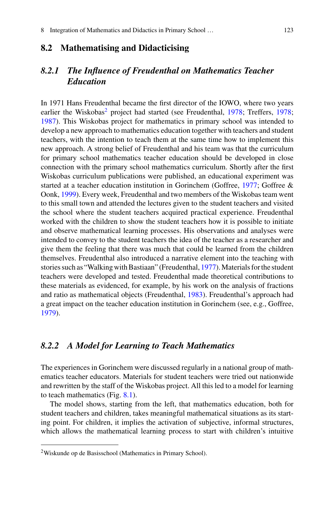#### **8.2 Mathematising and Didacticising**

## *8.2.1 The Influence of Freudenthal on Mathematics Teacher Education*

In 1971 Hans Freudenthal became the first director of the IOWO, where two years earlier the Wiskobas<sup>[2](#page-2-0)</sup> project had started (see Freudenthal,  $1978$ ; Treffers,  $1978$ ; [1987\)](#page-23-4). This Wiskobas project for mathematics in primary school was intended to develop a new approach to mathematics education together with teachers and student teachers, with the intention to teach them at the same time how to implement this new approach. A strong belief of Freudenthal and his team was that the curriculum for primary school mathematics teacher education should be developed in close connection with the primary school mathematics curriculum. Shortly after the first Wiskobas curriculum publications were published, an educational experiment was started at a teacher education institution in Gorinchem (Goffree, [1977;](#page-20-1) Goffree & Oonk, [1999\)](#page-21-1). Every week, Freudenthal and two members of the Wiskobas team went to this small town and attended the lectures given to the student teachers and visited the school where the student teachers acquired practical experience. Freudenthal worked with the children to show the student teachers how it is possible to initiate and observe mathematical learning processes. His observations and analyses were intended to convey to the student teachers the idea of the teacher as a researcher and give them the feeling that there was much that could be learned from the children themselves. Freudenthal also introduced a narrative element into the teaching with stories such as "Walking with Bastiaan" (Freudenthal, [1977\)](#page-20-2). Materials for the student teachers were developed and tested. Freudenthal made theoretical contributions to these materials as evidenced, for example, by his work on the analysis of fractions and ratio as mathematical objects (Freudenthal, [1983\)](#page-20-3). Freudenthal's approach had a great impact on the teacher education institution in Gorinchem (see, e.g., Goffree, [1979\)](#page-20-4).

#### *8.2.2 A Model for Learning to Teach Mathematics*

The experiences in Gorinchem were discussed regularly in a national group of mathematics teacher educators. Materials for student teachers were tried out nationwide and rewritten by the staff of the Wiskobas project. All this led to a model for learning to teach mathematics (Fig. [8.1\)](#page-3-0).

The model shows, starting from the left, that mathematics education, both for student teachers and children, takes meaningful mathematical situations as its starting point. For children, it implies the activation of subjective, informal structures, which allows the mathematical learning process to start with children's intuitive

<span id="page-2-0"></span><sup>2</sup>Wiskunde op de Basisschool (Mathematics in Primary School).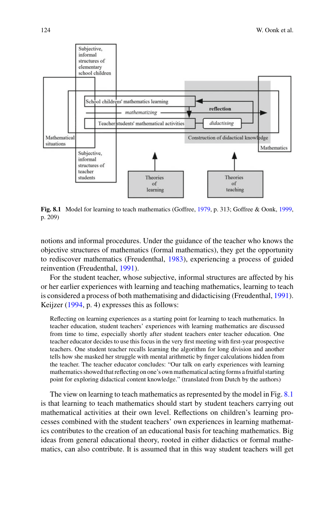

<span id="page-3-0"></span>**Fig. 8.1** Model for learning to teach mathematics (Goffree, [1979,](#page-20-4) p. 313; Goffree & Oonk, [1999,](#page-21-1) p. 209)

notions and informal procedures. Under the guidance of the teacher who knows the objective structures of mathematics (formal mathematics), they get the opportunity to rediscover mathematics (Freudenthal, [1983\)](#page-20-3), experiencing a process of guided reinvention (Freudenthal, [1991\)](#page-20-5).

For the student teacher, whose subjective, informal structures are affected by his or her earlier experiences with learning and teaching mathematics, learning to teach is considered a process of both mathematising and didacticising (Freudenthal, [1991\)](#page-20-5). Keijzer [\(1994,](#page-21-2) p. 4) expresses this as follows:

Reflecting on learning experiences as a starting point for learning to teach mathematics. In teacher education, student teachers' experiences with learning mathematics are discussed from time to time, especially shortly after student teachers enter teacher education. One teacher educator decides to use this focus in the very first meeting with first-year prospective teachers. One student teacher recalls learning the algorithm for long division and another tells how she masked her struggle with mental arithmetic by finger calculations hidden from the teacher. The teacher educator concludes: "Our talk on early experiences with learning mathematics showed that reflecting on one's own mathematical acting forms a fruitful starting point for exploring didactical content knowledge." (translated from Dutch by the authors)

The view on learning to teach mathematics as represented by the model in Fig. [8.1](#page-3-0) is that learning to teach mathematics should start by student teachers carrying out mathematical activities at their own level. Reflections on children's learning processes combined with the student teachers' own experiences in learning mathematics contributes to the creation of an educational basis for teaching mathematics. Big ideas from general educational theory, rooted in either didactics or formal mathematics, can also contribute. It is assumed that in this way student teachers will get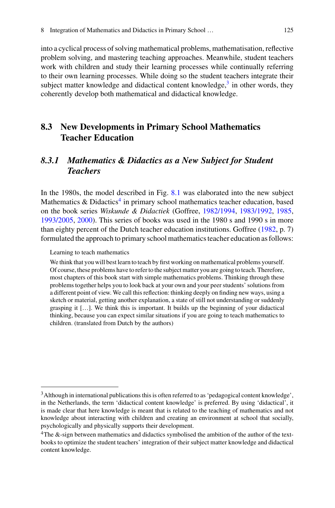into a cyclical process of solving mathematical problems, mathematisation, reflective problem solving, and mastering teaching approaches. Meanwhile, student teachers work with children and study their learning processes while continually referring to their own learning processes. While doing so the student teachers integrate their subject matter knowledge and didactical content knowledge, $3$  in other words, they coherently develop both mathematical and didactical knowledge.

## **8.3 New Developments in Primary School Mathematics Teacher Education**

## *8.3.1 Mathematics & Didactics as a New Subject for Student Teachers*

In the 1980s, the model described in Fig. [8.1](#page-3-0) was elaborated into the new subject Mathematics  $& Didactics<sup>4</sup>$  $& Didactics<sup>4</sup>$  $& Didactics<sup>4</sup>$  in primary school mathematics teacher education, based on the book series *Wiskunde & Didactiek* (Goffree, [1982/1994,](#page-20-6) [1983/1992,](#page-20-7) [1985,](#page-21-3) [1993/2005,](#page-21-4) [2000\)](#page-21-5). This series of books was used in the 1980 s and 1990 s in more than eighty percent of the Dutch teacher education institutions. Goffree [\(1982,](#page-20-6) p. 7) formulated the approach to primary school mathematics teacher education as follows:

Learning to teach mathematics

We think that you will best learn to teach by first working on mathematical problems yourself. Of course, these problems have to refer to the subject matter you are going to teach. Therefore, most chapters of this book start with simple mathematics problems. Thinking through these problems together helps you to look back at your own and your peer students' solutions from a different point of view. We call this reflection: thinking deeply on finding new ways, using a sketch or material, getting another explanation, a state of still not understanding or suddenly grasping it […]. We think this is important. It builds up the beginning of your didactical thinking, because you can expect similar situations if you are going to teach mathematics to children. (translated from Dutch by the authors)

<span id="page-4-0"></span><sup>&</sup>lt;sup>3</sup>Although in international publications this is often referred to as 'pedagogical content knowledge', in the Netherlands, the term 'didactical content knowledge' is preferred. By using 'didactical', it is made clear that here knowledge is meant that is related to the teaching of mathematics and not knowledge about interacting with children and creating an environment at school that socially, psychologically and physically supports their development.

<span id="page-4-1"></span><sup>&</sup>lt;sup>4</sup>The &-sign between mathematics and didactics symbolised the ambition of the author of the textbooks to optimize the student teachers' integration of their subject matter knowledge and didactical content knowledge.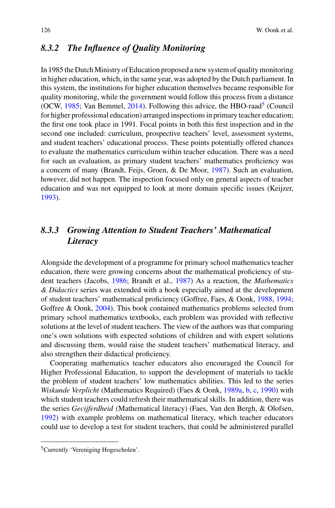### *8.3.2 The Influence of Quality Monitoring*

In 1985 the DutchMinistry of Education proposed a new system of quality monitoring in higher education, which, in the same year, was adopted by the Dutch parliament. In this system, the institutions for higher education themselves became responsible for quality monitoring, while the government would follow this process from a distance (OCW, [1985;](#page-22-4) Van Bemmel, [2014\)](#page-23-5). Following this advice, the HBO-raad<sup>5</sup> (Council) for higher professional education) arranged inspections in primary teacher education; the first one took place in 1991. Focal points in both this first inspection and in the second one included: curriculum, prospective teachers' level, assessment systems, and student teachers' educational process. These points potentially offered chances to evaluate the mathematics curriculum within teacher education. There was a need for such an evaluation, as primary student teachers' mathematics proficiency was a concern of many (Brandt, Feijs, Groen, & De Moor, [1987\)](#page-20-8). Such an evaluation, however, did not happen. The inspection focused only on general aspects of teacher education and was not equipped to look at more domain specific issues (Keijzer, [1993\)](#page-21-6).

## *8.3.3 Growing Attention to Student Teachers' Mathematical Literacy*

Alongside the development of a programme for primary school mathematics teacher education, there were growing concerns about the mathematical proficiency of student teachers (Jacobs, [1986;](#page-21-7) Brandt et al., [1987\)](#page-20-8) As a reaction, the *Mathematics & Didactics* series was extended with a book especially aimed at the development of student teachers' mathematical proficiency (Goffree, Faes, & Oonk, [1988,](#page-21-8) [1994;](#page-21-9) Goffree & Oonk, [2004\)](#page-21-10). This book contained mathematics problems selected from primary school mathematics textbooks, each problem was provided with reflective solutions at the level of student teachers. The view of the authors was that comparing one's own solutions with expected solutions of children and with expert solutions and discussing them, would raise the student teachers' mathematical literacy, and also strengthen their didactical proficiency.

Cooperating mathematics teacher educators also encouraged the Council for Higher Professional Education, to support the development of materials to tackle the problem of student teachers' low mathematics abilities. This led to the series *Wiskunde Verplicht* (Mathematics Required) (Faes & Oonk, [1989a,](#page-20-9) [b,](#page-20-10) [c,](#page-20-11) [1990\)](#page-20-12) with which student teachers could refresh their mathematical skills. In addition, there was the series *Gecijferdheid* (Mathematical literacy) (Faes, Van den Bergh, & Olofsen, [1992\)](#page-20-13) with example problems on mathematical literacy, which teacher educators could use to develop a test for student teachers, that could be administered parallel

<span id="page-5-0"></span><sup>5</sup>Currently 'Vereniging Hogescholen'.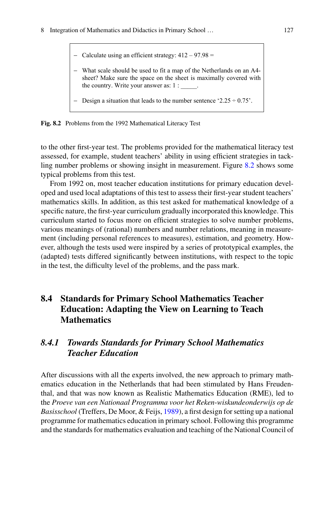$\text{Calculate using an efficient strategy: } 412 - 97.98 =$ − What scale should be used to fit a map of the Netherlands on an A4 sheet? Make sure the space on the sheet is maximally covered with the country. Write your answer as: 1 : Design a situation that leads to the number sentence '2.25 ÷ 0.75'.

<span id="page-6-0"></span>**Fig. 8.2** Problems from the 1992 Mathematical Literacy Test

to the other first-year test. The problems provided for the mathematical literacy test assessed, for example, student teachers' ability in using efficient strategies in tackling number problems or showing insight in measurement. Figure [8.2](#page-6-0) shows some typical problems from this test.

From 1992 on, most teacher education institutions for primary education developed and used local adaptations of this test to assess their first-year student teachers' mathematics skills. In addition, as this test asked for mathematical knowledge of a specific nature, the first-year curriculum gradually incorporated this knowledge. This curriculum started to focus more on efficient strategies to solve number problems, various meanings of (rational) numbers and number relations, meaning in measurement (including personal references to measures), estimation, and geometry. However, although the tests used were inspired by a series of prototypical examples, the (adapted) tests differed significantly between institutions, with respect to the topic in the test, the difficulty level of the problems, and the pass mark.

## **8.4 Standards for Primary School Mathematics Teacher Education: Adapting the View on Learning to Teach Mathematics**

## *8.4.1 Towards Standards for Primary School Mathematics Teacher Education*

After discussions with all the experts involved, the new approach to primary mathematics education in the Netherlands that had been stimulated by Hans Freudenthal, and that was now known as Realistic Mathematics Education (RME), led to the *Proeve van een Nationaal Programma voor het Reken*-*wiskundeonderwijs op de Basisschool* (Treffers, De Moor, & Feijs, [1989\)](#page-23-6), a first design for setting up a national programme for mathematics education in primary school. Following this programme and the standards for mathematics evaluation and teaching of the National Council of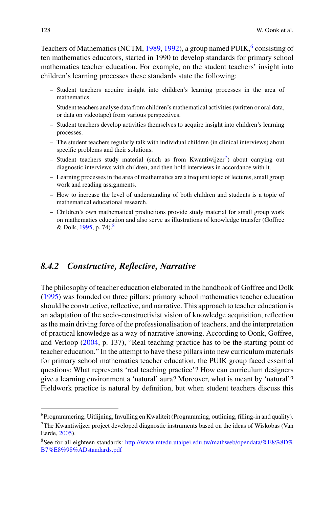Teachers of Mathematics (NCTM, [1989,](#page-22-5) [1992\)](#page-22-6), a group named PUIK, $<sup>6</sup>$  $<sup>6</sup>$  $<sup>6</sup>$  consisting of</sup> ten mathematics educators, started in 1990 to develop standards for primary school mathematics teacher education. For example, on the student teachers' insight into children's learning processes these standards state the following:

- Student teachers acquire insight into children's learning processes in the area of mathematics.
- Student teachers analyse data from children's mathematical activities (written or oral data, or data on videotape) from various perspectives.
- Student teachers develop activities themselves to acquire insight into children's learning processes.
- The student teachers regularly talk with individual children (in clinical interviews) about specific problems and their solutions.
- Student teachers study material (such as from Kwantiwijzer<sup>7</sup>) about carrying out diagnostic interviews with children, and then hold interviews in accordance with it.
- Learning processes in the area of mathematics are a frequent topic of lectures, small group work and reading assignments.
- How to increase the level of understanding of both children and students is a topic of mathematical educational research.
- Children's own mathematical productions provide study material for small group work on mathematics education and also serve as illustrations of knowledge transfer (Goffree & Dolk, [1995,](#page-21-11) p. 74).<sup>8</sup>

#### *8.4.2 Constructive, Reflective, Narrative*

The philosophy of teacher education elaborated in the handbook of Goffree and Dolk [\(1995\)](#page-21-11) was founded on three pillars: primary school mathematics teacher education should be constructive, reflective, and narrative. This approach to teacher education is an adaptation of the socio-constructivist vision of knowledge acquisition, reflection as the main driving force of the professionalisation of teachers, and the interpretation of practical knowledge as a way of narrative knowing. According to Oonk, Goffree, and Verloop [\(2004,](#page-23-7) p. 137), "Real teaching practice has to be the starting point of teacher education." In the attempt to have these pillars into new curriculum materials for primary school mathematics teacher education, the PUIK group faced essential questions: What represents 'real teaching practice'? How can curriculum designers give a learning environment a 'natural' aura? Moreover, what is meant by 'natural'? Fieldwork practice is natural by definition, but when student teachers discuss this

<span id="page-7-1"></span><span id="page-7-0"></span><sup>6</sup>Programmering, Uitlijning, Invulling en Kwaliteit (Programming, outlining, filling-in and quality).

<span id="page-7-2"></span><sup>7</sup>The Kwantiwijzer project developed diagnostic instruments based on the ideas of Wiskobas (Van Eerde, [2005\)](#page-24-2).

<sup>8</sup>See for all eighteen standards: [http://www.mtedu.utaipei.edu.tw/mathweb/opendata/%E8%8D%](http://www.mtedu.utaipei.edu.tw/mathweb/opendata/%25E8%258D%25B7%25E8%2598%25ADstandards.pdf) B7%E8%98%ADstandards.pdf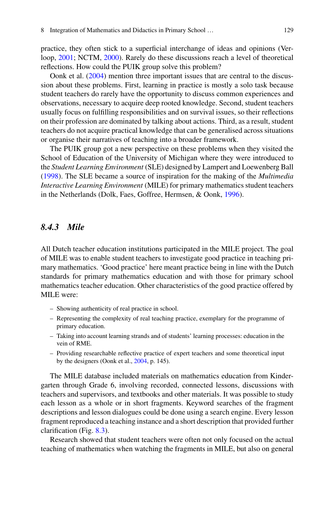practice, they often stick to a superficial interchange of ideas and opinions (Verloop, [2001;](#page-24-3) NCTM, [2000\)](#page-22-7). Rarely do these discussions reach a level of theoretical reflections. How could the PUIK group solve this problem?

Oonk et al. [\(2004\)](#page-23-7) mention three important issues that are central to the discussion about these problems. First, learning in practice is mostly a solo task because student teachers do rarely have the opportunity to discuss common experiences and observations, necessary to acquire deep rooted knowledge. Second, student teachers usually focus on fulfilling responsibilities and on survival issues, so their reflections on their profession are dominated by talking about actions. Third, as a result, student teachers do not acquire practical knowledge that can be generalised across situations or organise their narratives of teaching into a broader framework.

The PUIK group got a new perspective on these problems when they visited the School of Education of the University of Michigan where they were introduced to the *Student Learning Environment* (SLE) designed by Lampert and Loewenberg Ball [\(1998\)](#page-22-8). The SLE became a source of inspiration for the making of the *Multimedia Interactive Learning Environment* (MILE) for primary mathematics student teachers in the Netherlands (Dolk, Faes, Goffree, Hermsen, & Oonk, [1996\)](#page-20-14).

#### *8.4.3 Mile*

All Dutch teacher education institutions participated in the MILE project. The goal of MILE was to enable student teachers to investigate good practice in teaching primary mathematics. 'Good practice' here meant practice being in line with the Dutch standards for primary mathematics education and with those for primary school mathematics teacher education. Other characteristics of the good practice offered by MILE were:

- Showing authenticity of real practice in school.
- Representing the complexity of real teaching practice, exemplary for the programme of primary education.
- Taking into account learning strands and of students' learning processes: education in the vein of RME.
- Providing researchable reflective practice of expert teachers and some theoretical input by the designers (Oonk et al., [2004,](#page-23-7) p. 145).

The MILE database included materials on mathematics education from Kindergarten through Grade 6, involving recorded, connected lessons, discussions with teachers and supervisors, and textbooks and other materials. It was possible to study each lesson as a whole or in short fragments. Keyword searches of the fragment descriptions and lesson dialogues could be done using a search engine. Every lesson fragment reproduced a teaching instance and a short description that provided further clarification (Fig. [8.3\)](#page-9-0).

Research showed that student teachers were often not only focused on the actual teaching of mathematics when watching the fragments in MILE, but also on general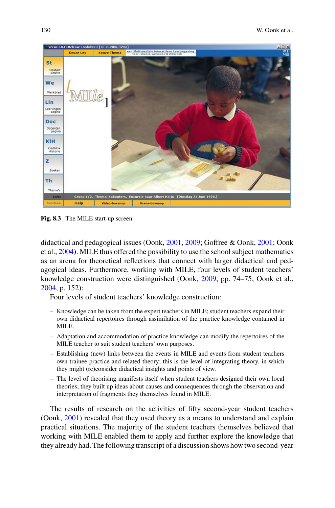

**Fig. 8.3** The MILE start-up screen

<span id="page-9-0"></span>didactical and pedagogical issues (Oonk, [2001,](#page-22-9) [2009;](#page-23-8) Goffree & Oonk, [2001;](#page-21-12) Oonk et al., [2004\)](#page-23-7). MILE thus offered the possibility to use the school subject mathematics as an arena for theoretical reflections that connect with larger didactical and pedagogical ideas. Furthermore, working with MILE, four levels of student teachers' knowledge construction were distinguished (Oonk, [2009,](#page-23-8) pp. 74–75; Oonk et al., [2004,](#page-23-7) p. 152):

Four levels of student teachers' knowledge construction:

- Knowledge can be taken from the expert teachers in MILE; student teachers expand their own didactical repertoires through assimilation of the practice knowledge contained in MILE.
- Adaptation and accommodation of practice knowledge can modify the repertoires of the MILE teacher to suit student teachers' own purposes.
- Establishing (new) links between the events in MILE and events from student teachers own trainee practice and related theory; this is the level of integrating theory, in which they might (re)consider didactical insights and points of view.
- The level of theorising manifests itself when student teachers designed their own local theories; they built up ideas about causes and consequences through the observation and interpretation of fragments they themselves found in MILE.

The results of research on the activities of fifty second-year student teachers (Oonk, [2001\)](#page-22-9) revealed that they used theory as a means to understand and explain practical situations. The majority of the student teachers themselves believed that working with MILE enabled them to apply and further explore the knowledge that they already had. The following transcript of a discussion shows how two second-year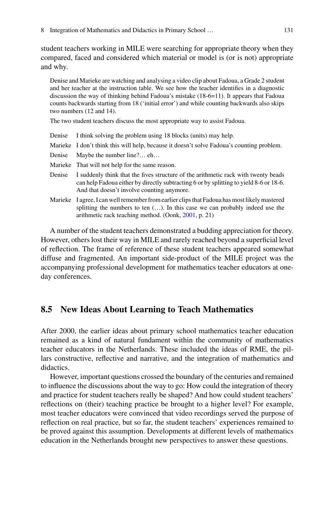student teachers working in MILE were searching for appropriate theory when they compared, faced and considered which material or model is (or is not) appropriate and why.

Denise and Marieke are watching and analysing a video clip about Fadoua, a Grade 2 student and her teacher at the instruction table. We see how the teacher identifies in a diagnostic discussion the way of thinking behind Fadoua's mistake (18-6=11). It appears that Fadoua counts backwards starting from 18 ('initial error') and while counting backwards also skips two numbers (12 and 14).

The two student teachers discuss the most appropriate way to assist Fadoua.

| I think solving the problem using 18 blocks (units) may help.                                                                                                                                                                           |
|-----------------------------------------------------------------------------------------------------------------------------------------------------------------------------------------------------------------------------------------|
| Marieke I don't think this will help, because it doesn't solve Fadoua's counting problem.                                                                                                                                               |
| Maybe the number line? eh                                                                                                                                                                                                               |
| Marieke That will not help for the same reason.                                                                                                                                                                                         |
| I suddenly think that the fives structure of the arithmetic rack with twenty beads<br>can help Fadoua either by directly subtracting 6 or by splitting to yield 8-6 or 18-6.<br>And that doesn't involve counting anymore.              |
| Marieke I agree, I can well remember from earlier clips that Fadoua has most likely mastered<br>splitting the numbers to ten $()$ . In this case we can probably indeed use the<br>arithmetic rack teaching method. (Oonk, 2001, p. 21) |
|                                                                                                                                                                                                                                         |

A number of the student teachers demonstrated a budding appreciation for theory. However, others lost their way in MILE and rarely reached beyond a superficial level of reflection. The frame of reference of these student teachers appeared somewhat diffuse and fragmented. An important side-product of the MILE project was the accompanying professional development for mathematics teacher educators at oneday conferences.

#### **8.5 New Ideas About Learning to Teach Mathematics**

After 2000, the earlier ideas about primary school mathematics teacher education remained as a kind of natural fundament within the community of mathematics teacher educators in the Netherlands. These included the ideas of RME, the pillars constructive, reflective and narrative, and the integration of mathematics and didactics.

However, important questions crossed the boundary of the centuries and remained to influence the discussions about the way to go: How could the integration of theory and practice for student teachers really be shaped? And how could student teachers' reflections on (their) teaching practice be brought to a higher level? For example, most teacher educators were convinced that video recordings served the purpose of reflection on real practice, but so far, the student teachers' experiences remained to be proved against this assumption. Developments at different levels of mathematics education in the Netherlands brought new perspectives to answer these questions.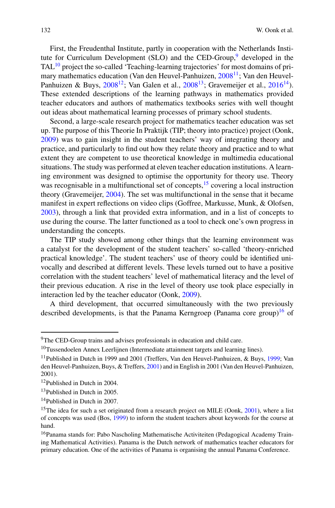First, the Freudenthal Institute, partly in cooperation with the Netherlands Institute for Curriculum Development (SLO) and the CED-Group, $9$  developed in the  $TAL<sup>10</sup>$  project the so-called 'Teaching-learning trajectories' for most domains of pri-mary mathematics education (Van den Heuvel-Panhuizen, [2008](#page-24-4)<sup>11</sup>; Van den Heuvel-Panhuizen & Buys,  $2008^{12}$  $2008^{12}$ ; Van Galen et al.,  $2008^{13}$ ; Gravemeijer et al.,  $2016^{14}$  $2016^{14}$ ). These extended descriptions of the learning pathways in mathematics provided teacher educators and authors of mathematics textbooks series with well thought out ideas about mathematical learning processes of primary school students.

Second, a large-scale research project for mathematics teacher education was set up. The purpose of this Theorie In Praktijk (TIP; theory into practice) project (Oonk, [2009\)](#page-23-8) was to gain insight in the student teachers' way of integrating theory and practice, and particularly to find out how they relate theory and practice and to what extent they are competent to use theoretical knowledge in multimedia educational situations. The study was performed at eleven teacher education institutions. A learning environment was designed to optimise the opportunity for theory use. Theory was recognisable in a multifunctional set of concepts,<sup>[15](#page-11-6)</sup> covering a local instruction theory (Gravemeijer, [2004\)](#page-21-14). The set was multifunctional in the sense that it became manifest in expert reflections on video clips (Goffree, Markusse, Munk, & Olofsen, [2003\)](#page-21-15), through a link that provided extra information, and in a list of concepts to use during the course. The latter functioned as a tool to check one's own progress in understanding the concepts.

The TIP study showed among other things that the learning environment was a catalyst for the development of the student teachers' so-called 'theory-enriched practical knowledge'. The student teachers' use of theory could be identified univocally and described at different levels. These levels turned out to have a positive correlation with the student teachers' level of mathematical literacy and the level of their previous education. A rise in the level of theory use took place especially in interaction led by the teacher educator (Oonk, [2009\)](#page-23-8).

A third development, that occurred simultaneously with the two previously described developments, is that the Panama Kerngroep (Panama core group)<sup>[16](#page-11-7)</sup> of

<span id="page-11-1"></span><span id="page-11-0"></span><sup>&</sup>lt;sup>9</sup>The CED-Group trains and advises professionals in education and child care.

<span id="page-11-2"></span> $10$ Tussendoelen Annex Leerlijnen (Intermediate attainment targets and learning lines).

<sup>&</sup>lt;sup>11</sup>Published in Dutch in 1999 and 2001 (Treffers, Van den Heuvel-Panhuizen, & Buys, [1999;](#page-23-9) Van den Heuvel-Panhuizen, Buys, & Treffers, [2001\)](#page-24-7) and in English in 2001 (Van den Heuvel-Panhuizen, 2001).

<span id="page-11-4"></span><span id="page-11-3"></span><sup>&</sup>lt;sup>12</sup>Published in Dutch in 2004.

<span id="page-11-5"></span><sup>13</sup>Published in Dutch in 2005.

<span id="page-11-6"></span><sup>&</sup>lt;sup>14</sup>Published in Dutch in 2007.

<sup>&</sup>lt;sup>15</sup>The idea for such a set originated from a research project on MILE (Oonk,  $2001$ ), where a list of concepts was used (Bos, [1999\)](#page-20-15) to inform the student teachers about keywords for the course at hand.

<span id="page-11-7"></span><sup>16</sup>Panama stands for: Pabo Nascholing Mathematische Activiteiten (Pedagogical Academy Training Mathematical Activities). Panama is the Dutch network of mathematics teacher educators for primary education. One of the activities of Panama is organising the annual Panama Conference.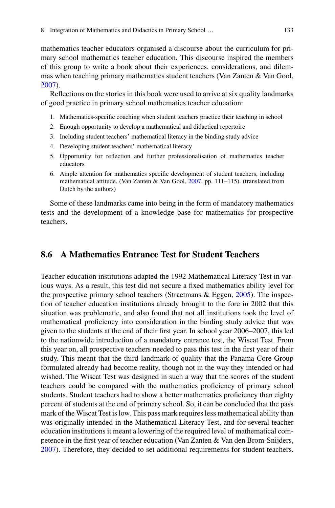mathematics teacher educators organised a discourse about the curriculum for primary school mathematics teacher education. This discourse inspired the members of this group to write a book about their experiences, considerations, and dilemmas when teaching primary mathematics student teachers (Van Zanten & Van Gool, [2007\)](#page-24-8).

Reflections on the stories in this book were used to arrive at six quality landmarks of good practice in primary school mathematics teacher education:

- 1. Mathematics-specific coaching when student teachers practice their teaching in school
- 2. Enough opportunity to develop a mathematical and didactical repertoire
- 3. Including student teachers' mathematical literacy in the binding study advice
- 4. Developing student teachers' mathematical literacy
- 5. Opportunity for reflection and further professionalisation of mathematics teacher educators
- 6. Ample attention for mathematics specific development of student teachers, including mathematical attitude. (Van Zanten & Van Gool, [2007,](#page-24-8) pp. 111–115). (translated from Dutch by the authors)

Some of these landmarks came into being in the form of mandatory mathematics tests and the development of a knowledge base for mathematics for prospective teachers.

#### **8.6 A Mathematics Entrance Test for Student Teachers**

Teacher education institutions adapted the 1992 Mathematical Literacy Test in various ways. As a result, this test did not secure a fixed mathematics ability level for the prospective primary school teachers (Straetmans & Eggen, [2005\)](#page-23-10). The inspection of teacher education institutions already brought to the fore in 2002 that this situation was problematic, and also found that not all institutions took the level of mathematical proficiency into consideration in the binding study advice that was given to the students at the end of their first year. In school year 2006–2007, this led to the nationwide introduction of a mandatory entrance test, the Wiscat Test. From this year on, all prospective teachers needed to pass this test in the first year of their study. This meant that the third landmark of quality that the Panama Core Group formulated already had become reality, though not in the way they intended or had wished. The Wiscat Test was designed in such a way that the scores of the student teachers could be compared with the mathematics proficiency of primary school students. Student teachers had to show a better mathematics proficiency than eighty percent of students at the end of primary school. So, it can be concluded that the pass mark of the Wiscat Test is low. This pass mark requires less mathematical ability than was originally intended in the Mathematical Literacy Test, and for several teacher education institutions it meant a lowering of the required level of mathematical competence in the first year of teacher education (Van Zanten & Van den Brom-Snijders, [2007\)](#page-24-9). Therefore, they decided to set additional requirements for student teachers.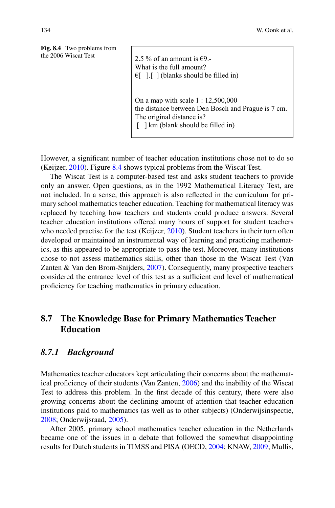<span id="page-13-0"></span>

| Fig. 8.4 Two problems from<br>the 2006 Wiscat Test | 2.5 % of an amount is $\epsilon$ 9.<br>What is the full amount?<br>$E[$ ].[ ] (blanks should be filled in)                                                |
|----------------------------------------------------|-----------------------------------------------------------------------------------------------------------------------------------------------------------|
|                                                    | On a map with scale 1 : 12,500,000<br>the distance between Den Bosch and Prague is 7 cm.<br>The original distance is?<br>] km (blank should be filled in) |

However, a significant number of teacher education institutions chose not to do so (Keijzer, [2010\)](#page-21-16). Figure [8.4](#page-13-0) shows typical problems from the Wiscat Test.

The Wiscat Test is a computer-based test and asks student teachers to provide only an answer. Open questions, as in the 1992 Mathematical Literacy Test, are not included. In a sense, this approach is also reflected in the curriculum for primary school mathematics teacher education. Teaching for mathematical literacy was replaced by teaching how teachers and students could produce answers. Several teacher education institutions offered many hours of support for student teachers who needed practise for the test (Keijzer, [2010\)](#page-21-16). Student teachers in their turn often developed or maintained an instrumental way of learning and practicing mathematics, as this appeared to be appropriate to pass the test. Moreover, many institutions chose to not assess mathematics skills, other than those in the Wiscat Test (Van Zanten & Van den Brom-Snijders, [2007\)](#page-24-9). Consequently, many prospective teachers considered the entrance level of this test as a sufficient end level of mathematical proficiency for teaching mathematics in primary education.

## **8.7 The Knowledge Base for Primary Mathematics Teacher Education**

#### *8.7.1 Background*

Mathematics teacher educators kept articulating their concerns about the mathematical proficiency of their students (Van Zanten, [2006\)](#page-24-10) and the inability of the Wiscat Test to address this problem. In the first decade of this century, there were also growing concerns about the declining amount of attention that teacher education institutions paid to mathematics (as well as to other subjects) (Onderwijsinspectie, [2008;](#page-22-10) Onderwijsraad, [2005\)](#page-22-2).

After 2005, primary school mathematics teacher education in the Netherlands became one of the issues in a debate that followed the somewhat disappointing results for Dutch students in TIMSS and PISA (OECD, [2004;](#page-22-11) KNAW, [2009;](#page-22-12) Mullis,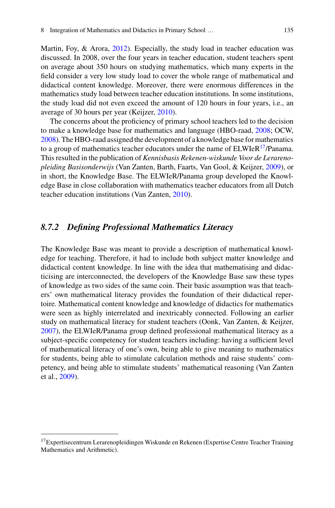Martin, Foy, & Arora, [2012\)](#page-22-13). Especially, the study load in teacher education was discussed. In 2008, over the four years in teacher education, student teachers spent on average about 350 hours on studying mathematics, which many experts in the field consider a very low study load to cover the whole range of mathematical and didactical content knowledge. Moreover, there were enormous differences in the mathematics study load between teacher education institutions. In some institutions, the study load did not even exceed the amount of 120 hours in four years, i.e., an average of 30 hours per year (Keijzer, [2010\)](#page-21-16).

The concerns about the proficiency of primary school teachers led to the decision to make a knowledge base for mathematics and language (HBO-raad, [2008;](#page-21-17) OCW, [2008\)](#page-22-14). The HBO-raad assigned the development of a knowledge base for mathematics to a group of mathematics teacher educators under the name of  $ELW I R<sup>17</sup>/Panama$ . This resulted in the publication of *Kennisbasis Rekenen*-*wiskunde Voor de Lerarenopleiding Basisonderwijs* (Van Zanten, Barth, Faarts, Van Gool, & Keijzer, [2009\)](#page-24-11), or in short, the Knowledge Base. The ELWIeR/Panama group developed the Knowledge Base in close collaboration with mathematics teacher educators from all Dutch teacher education institutions (Van Zanten, [2010\)](#page-24-12).

#### *8.7.2 Defining Professional Mathematics Literacy*

The Knowledge Base was meant to provide a description of mathematical knowledge for teaching. Therefore, it had to include both subject matter knowledge and didactical content knowledge. In line with the idea that mathematising and didacticising are interconnected, the developers of the Knowledge Base saw these types of knowledge as two sides of the same coin. Their basic assumption was that teachers' own mathematical literacy provides the foundation of their didactical repertoire. Mathematical content knowledge and knowledge of didactics for mathematics were seen as highly interrelated and inextricably connected. Following an earlier study on mathematical literacy for student teachers (Oonk, Van Zanten, & Keijzer, [2007\)](#page-23-11), the ELWIeR/Panama group defined professional mathematical literacy as a subject-specific competency for student teachers including: having a sufficient level of mathematical literacy of one's own, being able to give meaning to mathematics for students, being able to stimulate calculation methods and raise students' competency, and being able to stimulate students' mathematical reasoning (Van Zanten et al., [2009\)](#page-24-11).

<span id="page-14-0"></span><sup>&</sup>lt;sup>17</sup> Expertisecentrum Lerarenopleidingen Wiskunde en Rekenen (Expertise Centre Teacher Training Mathematics and Arithmetic).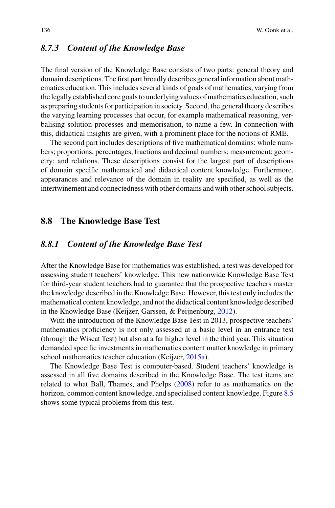#### *8.7.3 Content of the Knowledge Base*

The final version of the Knowledge Base consists of two parts: general theory and domain descriptions. The first part broadly describes general information about mathematics education. This includes several kinds of goals of mathematics, varying from the legally established core goals to underlying values of mathematics education, such as preparing students for participation in society. Second, the general theory describes the varying learning processes that occur, for example mathematical reasoning, verbalising solution processes and memorisation, to name a few. In connection with this, didactical insights are given, with a prominent place for the notions of RME.

The second part includes descriptions of five mathematical domains: whole numbers; proportions, percentages, fractions and decimal numbers; measurement; geometry; and relations. These descriptions consist for the largest part of descriptions of domain specific mathematical and didactical content knowledge. Furthermore, appearances and relevance of the domain in reality are specified, as well as the intertwinement and connectedness with other domains and with other school subjects.

#### **8.8 The Knowledge Base Test**

#### *8.8.1 Content of the Knowledge Base Test*

After the Knowledge Base for mathematics was established, a test was developed for assessing student teachers' knowledge. This new nationwide Knowledge Base Test for third-year student teachers had to guarantee that the prospective teachers master the knowledge described in the Knowledge Base. However, this test only includes the mathematical content knowledge, and not the didactical content knowledge described in the Knowledge Base (Keijzer, Garssen, & Peijnenburg, [2012\)](#page-22-15).

With the introduction of the Knowledge Base Test in 2013, prospective teachers' mathematics proficiency is not only assessed at a basic level in an entrance test (through the Wiscat Test) but also at a far higher level in the third year. This situation demanded specific investments in mathematics content matter knowledge in primary school mathematics teacher education (Keijzer, [2015a\)](#page-22-16).

The Knowledge Base Test is computer-based. Student teachers' knowledge is assessed in all five domains described in the Knowledge Base. The test items are related to what Ball, Thames, and Phelps [\(2008\)](#page-20-16) refer to as mathematics on the horizon, common content knowledge, and specialised content knowledge. Figure [8.5](#page-16-0) shows some typical problems from this test.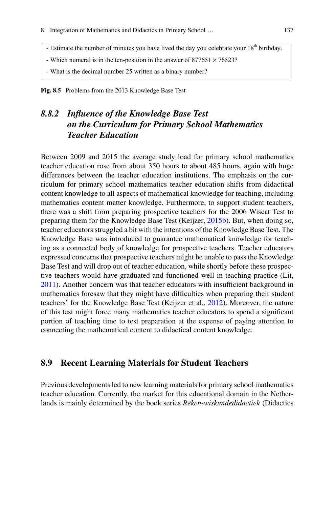- Estimate the number of minutes you have lived the day you celebrate your 18<sup>th</sup> birthday.
- Which numeral is in the ten-position in the answer of  $877651 \times 76523$ ?
- <span id="page-16-0"></span>- What is the decimal number 25 written as a binary number?

**Fig. 8.5** Problems from the 2013 Knowledge Base Test

## *8.8.2 Influence of the Knowledge Base Test on the Curriculum for Primary School Mathematics Teacher Education*

Between 2009 and 2015 the average study load for primary school mathematics teacher education rose from about 350 hours to about 485 hours, again with huge differences between the teacher education institutions. The emphasis on the curriculum for primary school mathematics teacher education shifts from didactical content knowledge to all aspects of mathematical knowledge for teaching, including mathematics content matter knowledge. Furthermore, to support student teachers, there was a shift from preparing prospective teachers for the 2006 Wiscat Test to preparing them for the Knowledge Base Test (Keijzer, [2015b\)](#page-22-17). But, when doing so, teacher educators struggled a bit with the intentions of the Knowledge Base Test. The Knowledge Base was introduced to guarantee mathematical knowledge for teaching as a connected body of knowledge for prospective teachers. Teacher educators expressed concerns that prospective teachers might be unable to pass the Knowledge Base Test and will drop out of teacher education, while shortly before these prospective teachers would have graduated and functioned well in teaching practice (Lit, [2011\)](#page-22-18). Another concern was that teacher educators with insufficient background in mathematics foresaw that they might have difficulties when preparing their student teachers' for the Knowledge Base Test (Keijzer et al., [2012\)](#page-22-15). Moreover, the nature of this test might force many mathematics teacher educators to spend a significant portion of teaching time to test preparation at the expense of paying attention to connecting the mathematical content to didactical content knowledge.

#### **8.9 Recent Learning Materials for Student Teachers**

Previous developments led to new learning materials for primary school mathematics teacher education. Currently, the market for this educational domain in the Netherlands is mainly determined by the book series *Reken*-*wiskundedidactiek* (Didactics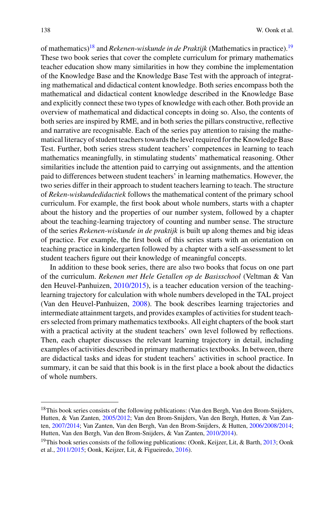of mathematics[\)18](#page-17-0) and *Rekenen*-*wiskunde in de Praktijk* (Mathematics in practice).[19](#page-17-1) These two book series that cover the complete curriculum for primary mathematics teacher education show many similarities in how they combine the implementation of the Knowledge Base and the Knowledge Base Test with the approach of integrating mathematical and didactical content knowledge. Both series encompass both the mathematical and didactical content knowledge described in the Knowledge Base and explicitly connect these two types of knowledge with each other. Both provide an overview of mathematical and didactical concepts in doing so. Also, the contents of both series are inspired by RME, and in both series the pillars constructive, reflective and narrative are recognisable. Each of the series pay attention to raising the mathematical literacy of student teachers towards the level required for the Knowledge Base Test. Further, both series stress student teachers' competences in learning to teach mathematics meaningfully, in stimulating students' mathematical reasoning. Other similarities include the attention paid to carrying out assignments, and the attention paid to differences between student teachers' in learning mathematics. However, the two series differ in their approach to student teachers learning to teach. The structure of *Reken*-*wiskundedidactiek* follows the mathematical content of the primary school curriculum. For example, the first book about whole numbers, starts with a chapter about the history and the properties of our number system, followed by a chapter about the teaching-learning trajectory of counting and number sense. The structure of the series *Rekenen*-*wiskunde in de praktijk* is built up along themes and big ideas of practice. For example, the first book of this series starts with an orientation on teaching practice in kindergarten followed by a chapter with a self-assessment to let student teachers figure out their knowledge of meaningful concepts.

In addition to these book series, there are also two books that focus on one part of the curriculum. *Rekenen met Hele Getallen op de Basisschool* (Veltman & Van den Heuvel-Panhuizen, [2010/2015\)](#page-24-13), is a teacher education version of the teachinglearning trajectory for calculation with whole numbers developed in the TAL project (Van den Heuvel-Panhuizen, [2008\)](#page-24-4). The book describes learning trajectories and intermediate attainment targets, and provides examples of activities for student teachers selected from primary mathematics textbooks. All eight chapters of the book start with a practical activity at the student teachers' own level followed by reflections. Then, each chapter discusses the relevant learning trajectory in detail, including examples of activities described in primary mathematics textbooks. In between, there are didactical tasks and ideas for student teachers' activities in school practice. In summary, it can be said that this book is in the first place a book about the didactics of whole numbers.

<span id="page-17-0"></span><sup>&</sup>lt;sup>18</sup>This book series consists of the following publications: (Van den Bergh, Van den Brom-Snijders, Hutten, & Van Zanten, [2005/2012;](#page-23-12) Van den Brom-Snijders, Van den Bergh, Hutten, & Van Zanten, [2007/2014;](#page-23-13) Van Zanten, Van den Bergh, Van den Brom-Snijders, & Hutten, [2006/2008/2014;](#page-24-14) Hutten, Van den Bergh, Van den Brom-Snijders, & Van Zanten, [2010/2014\)](#page-21-18).

<span id="page-17-1"></span><sup>&</sup>lt;sup>19</sup>This book series consists of the following publications: (Oonk, Keijzer, Lit, & Barth,  $2013$ ; Oonk et al., [2011/2015;](#page-23-15) Oonk, Keijzer, Lit, & Figueiredo, [2016\)](#page-23-16).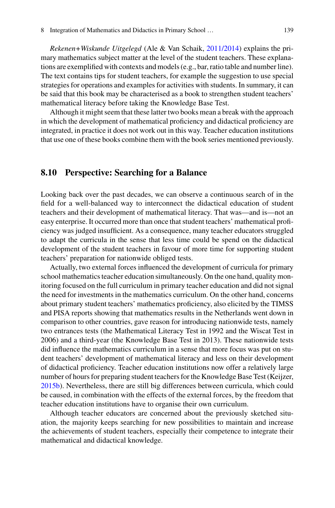*Rekenen+Wiskunde Uitgelegd* (Ale & Van Schaik, [2011/2014\)](#page-20-17) explains the primary mathematics subject matter at the level of the student teachers. These explanations are exemplified with contexts and models (e.g., bar, ratio table and number line). The text contains tips for student teachers, for example the suggestion to use special strategies for operations and examples for activities with students. In summary, it can be said that this book may be characterised as a book to strengthen student teachers' mathematical literacy before taking the Knowledge Base Test.

Although it might seem that these latter two books mean a break with the approach in which the development of mathematical proficiency and didactical proficiency are integrated, in practice it does not work out in this way. Teacher education institutions that use one of these books combine them with the book series mentioned previously.

#### **8.10 Perspective: Searching for a Balance**

Looking back over the past decades, we can observe a continuous search of in the field for a well-balanced way to interconnect the didactical education of student teachers and their development of mathematical literacy. That was—and is—not an easy enterprise. It occurred more than once that student teachers' mathematical proficiency was judged insufficient. As a consequence, many teacher educators struggled to adapt the curricula in the sense that less time could be spend on the didactical development of the student teachers in favour of more time for supporting student teachers' preparation for nationwide obliged tests.

Actually, two external forces influenced the development of curricula for primary school mathematics teacher education simultaneously. On the one hand, quality monitoring focused on the full curriculum in primary teacher education and did not signal the need for investments in the mathematics curriculum. On the other hand, concerns about primary student teachers' mathematics proficiency, also elicited by the TIMSS and PISA reports showing that mathematics results in the Netherlands went down in comparison to other countries, gave reason for introducing nationwide tests, namely two entrances tests (the Mathematical Literacy Test in 1992 and the Wiscat Test in 2006) and a third-year (the Knowledge Base Test in 2013). These nationwide tests did influence the mathematics curriculum in a sense that more focus was put on student teachers' development of mathematical literacy and less on their development of didactical proficiency. Teacher education institutions now offer a relatively large number of hours for preparing student teachers for the Knowledge Base Test (Keijzer, [2015b\)](#page-22-17). Nevertheless, there are still big differences between curricula, which could be caused, in combination with the effects of the external forces, by the freedom that teacher education institutions have to organise their own curriculum.

Although teacher educators are concerned about the previously sketched situation, the majority keeps searching for new possibilities to maintain and increase the achievements of student teachers, especially their competence to integrate their mathematical and didactical knowledge.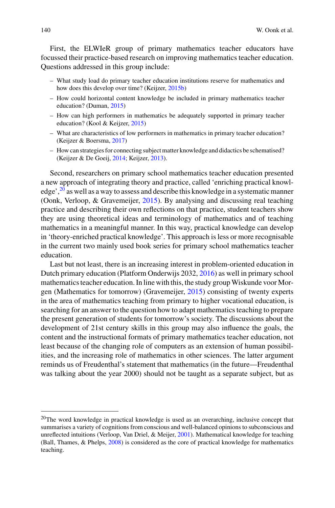First, the ELWIeR group of primary mathematics teacher educators have focussed their practice-based research on improving mathematics teacher education. Questions addressed in this group include:

- What study load do primary teacher education institutions reserve for mathematics and how does this develop over time? (Keijzer, [2015b\)](#page-22-17)
- How could horizontal content knowledge be included in primary mathematics teacher education? (Duman, [2015\)](#page-20-18)
- How can high performers in mathematics be adequately supported in primary teacher education? (Kool & Keijzer, [2015\)](#page-22-19)
- What are characteristics of low performers in mathematics in primary teacher education? (Keijzer & Boersma, [2017\)](#page-22-20)
- How can strategies for connecting subject matter knowledge and didactics be schematised? (Keijzer & De Goeij, [2014;](#page-22-21) Keijzer, [2013\)](#page-21-19).

Second, researchers on primary school mathematics teacher education presented a new approach of integrating theory and practice, called 'enriching practical knowledge',  $\frac{20}{3}$  $\frac{20}{3}$  $\frac{20}{3}$  as well as a way to assess and describe this knowledge in a systematic manner (Oonk, Verloop, & Gravemeijer, [2015\)](#page-23-17). By analysing and discussing real teaching practice and describing their own reflections on that practice, student teachers show they are using theoretical ideas and terminology of mathematics and of teaching mathematics in a meaningful manner. In this way, practical knowledge can develop in 'theory-enriched practical knowledge'. This approach is less or more recognisable in the current two mainly used book series for primary school mathematics teacher education.

Last but not least, there is an increasing interest in problem-oriented education in Dutch primary education (Platform Onderwijs 2032, [2016\)](#page-23-18) as well in primary school mathematics teacher education. In line with this, the study group Wiskunde voor Morgen (Mathematics for tomorrow) (Gravemeijer, [2015\)](#page-21-20) consisting of twenty experts in the area of mathematics teaching from primary to higher vocational education, is searching for an answer to the question how to adapt mathematics teaching to prepare the present generation of students for tomorrow's society. The discussions about the development of 21st century skills in this group may also influence the goals, the content and the instructional formats of primary mathematics teacher education, not least because of the changing role of computers as an extension of human possibilities, and the increasing role of mathematics in other sciences. The latter argument reminds us of Freudenthal's statement that mathematics (in the future—Freudenthal was talking about the year 2000) should not be taught as a separate subject, but as

<span id="page-19-0"></span><sup>&</sup>lt;sup>20</sup>The word knowledge in practical knowledge is used as an overarching, inclusive concept that summarises a variety of cognitions from conscious and well-balanced opinions to subconscious and unreflected intuitions (Verloop, Van Driel, & Meijer, [2001\)](#page-24-15). Mathematical knowledge for teaching (Ball, Thames, & Phelps, [2008\)](#page-20-16) is considered as the core of practical knowledge for mathematics teaching.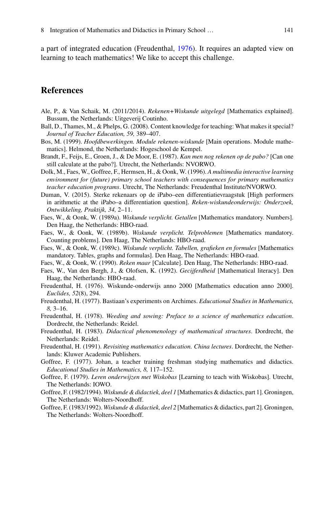a part of integrated education (Freudenthal, [1976\)](#page-20-19). It requires an adapted view on learning to teach mathematics! We like to accept this challenge.

#### **References**

- <span id="page-20-17"></span>Ale, P., & Van Schaik, M. (2011/2014). *Rekenen+Wiskunde uitgelegd* [Mathematics explained]. Bussum, the Netherlands: Uitgeverij Coutinho.
- <span id="page-20-16"></span>Ball, D., Thames, M., & Phelps, G. (2008). Content knowledge for teaching: What makes it special? *Journal of Teacher Education, 59,* 389–407.
- <span id="page-20-15"></span>Bos, M. (1999). *Hoofdbewerkingen. Module rekenen-wiskunde* [Main operations. Module mathematics]. Helmond, the Netherlands: Hogeschool de Kempel.
- <span id="page-20-8"></span>Brandt, F., Feijs, E., Groen, J., & De Moor, E. (1987). *Kan men nog rekenen op de pabo?* [Can one still calculate at the pabo?]. Utrecht, the Netherlands: NVORWO.
- <span id="page-20-14"></span>Dolk, M., Faes, W., Goffree, F., Hermsen, H., & Oonk, W. (1996). *A multimedia interactive learning environment for (future) primary school teachers with consequences for primary mathematics teacher education programs*. Utrecht, The Netherlands: Freudenthal Institute/NVORWO.
- <span id="page-20-18"></span>Duman, V. (2015). Sterke rekenaars op de iPabo–een differentiatievraagstuk [High performers in arithmetic at the iPabo–a differentiation question]. *Reken-wiskundeonderwijs: Onderzoek, Ontwikkeling, Praktijk, 34,* 2–11.
- <span id="page-20-9"></span>Faes, W., & Oonk, W. (1989a). *Wiskunde verplicht. Getallen* [Mathematics mandatory. Numbers]. Den Haag, the Netherlands: HBO-raad.
- <span id="page-20-10"></span>Faes, W., & Oonk, W. (1989b). *Wiskunde verplicht. Telproblemen* [Mathematics mandatory. Counting problems]. Den Haag, The Netherlands: HBO-raad.
- <span id="page-20-11"></span>Faes, W., & Oonk, W. (1989c). *Wiskunde verplicht. Tabellen, grafieken en formules* [Mathematics mandatory. Tables, graphs and formulas]. Den Haag, The Netherlands: HBO-raad.
- <span id="page-20-12"></span>Faes, W., & Oonk, W. (1990). *Reken maar* [Calculate]. Den Haag, The Netherlands: HBO-raad.
- <span id="page-20-13"></span>Faes, W., Van den Bergh, J., & Olofsen, K. (1992). *Gecijferdheid* [Mathematical literacy]. Den Haag, the Netherlands: HBO-raad.
- <span id="page-20-19"></span>Freudenthal, H. (1976). Wiskunde-onderwijs anno 2000 [Mathematics education anno 2000]. *Euclides, 52*(8), 294.
- <span id="page-20-2"></span>Freudenthal, H. (1977). Bastiaan's experiments on Archimes. *Educational Studies in Mathematics, 8,* 3–16.
- <span id="page-20-0"></span>Freudenthal, H. (1978). *Weeding and sowing: Preface to a science of mathematics education*. Dordrecht, the Netherlands: Reidel.
- <span id="page-20-3"></span>Freudenthal, H. (1983). *Didactical phenomenology of mathematical structures*. Dordrecht, the Netherlands: Reidel.
- <span id="page-20-5"></span>Freudenthal, H. (1991). *Revisiting mathematics education. China lectures*. Dordrecht, the Netherlands: Kluwer Academic Publishers.
- <span id="page-20-1"></span>Goffree, F. (1977). Johan, a teacher training freshman studying mathematics and didactics. *Educational Studies in Mathematics, 8,* 117–152.
- <span id="page-20-4"></span>Goffree, F. (1979). *Leren onderwijzen met Wiskobas* [Learning to teach with Wiskobas]. Utrecht, The Netherlands: IOWO.
- <span id="page-20-6"></span>Goffree, F. (1982/1994). *Wiskunde & didactiek, deel 1* [Mathematics & didactics, part 1]. Groningen, The Netherlands: Wolters-Noordhoff.
- <span id="page-20-7"></span>Goffree, F. (1983/1992). *Wiskunde & didactiek, deel 2* [Mathematics & didactics, part 2]. Groningen, The Netherlands: Wolters-Noordhoff.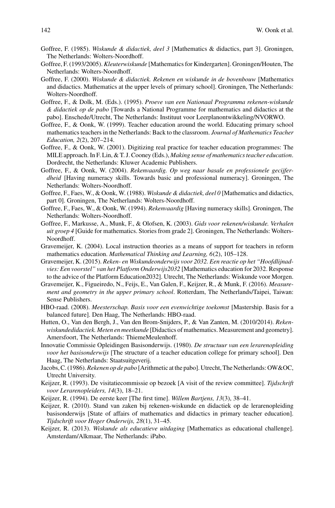- <span id="page-21-3"></span>Goffree, F. (1985). *Wiskunde & didactiek, deel 3* [Mathematics & didactics, part 3]. Groningen, The Netherlands: Wolters-Noordhoff.
- <span id="page-21-4"></span>Goffree, F. (1993/2005). *Kleuterwiskunde* [Mathematics for Kindergarten]. Groningen/Houten, The Netherlands: Wolters-Noordhoff.
- <span id="page-21-5"></span>Goffree, F. (2000). *Wiskunde & didactiek. Rekenen en wiskunde in de bovenbouw* [Mathematics and didactics. Mathematics at the upper levels of primary school]. Groningen, The Netherlands: Wolters-Noordhoff.
- <span id="page-21-11"></span>Goffree, F., & Dolk, M. (Eds.). (1995). *Proeve van een Nationaal Programma rekenen-wiskunde & didactiek op de pabo* [Towards a National Programme for mathematics and didactics at the pabo]. Enschede/Utrecht, The Netherlands: Instituut voor Leerplanontwikkeling/NVORWO.
- <span id="page-21-1"></span>Goffree, F., & Oonk, W. (1999). Teacher education around the world. Educating primary school mathematics teachers in the Netherlands: Back to the classroom. *Journal of Mathematics Teacher Education, 2*(2), 207–214.
- <span id="page-21-12"></span>Goffree, F., & Oonk, W. (2001). Digitizing real practice for teacher education programmes: The MILE approach. In F. Lin, & T. J. Cooney (Eds.), *Making sense of mathematics teacher education*. Dordrecht, the Netherlands: Kluwer Academic Publishers.
- <span id="page-21-10"></span>Goffree, F., & Oonk, W. (2004). *Rekenvaardig. Op weg naar basale en professionele gecijferdheid* [Having numeracy skills. Towards basic and professional numeracy]. Groningen, The Netherlands: Wolters-Noordhoff.
- <span id="page-21-8"></span>Goffree, F., Faes, W., & Oonk, W. (1988). *Wiskunde & didactiek, deel 0* [Mathematics and didactics, part 0]. Groningen, The Netherlands: Wolters-Noordhoff.
- <span id="page-21-9"></span>Goffree, F., Faes, W., & Oonk, W. (1994). *Rekenvaardig* [Having numeracy skills]. Groningen, The Netherlands: Wolters-Noordhoff.
- <span id="page-21-15"></span>Goffree, F., Markusse, A., Munk, F., & Olofsen, K. (2003). *Gids voor rekenen/wiskunde. Verhalen uit groep 4* [Guide for mathematics. Stories from grade 2]. Groningen, The Netherlands: Wolters-Noordhoff.
- <span id="page-21-14"></span>Gravemeijer, K. (2004). Local instruction theories as a means of support for teachers in reform mathematics education. *Mathematical Thinking and Learning, 6*(2), 105–128.
- <span id="page-21-20"></span>Gravemeijer, K. (2015). *Reken- en Wiskundeonderwijs voor 2032. Een reactie op het "Hoofdlijnadvies: Een voorstel" van het Platform Onderwijs2032* [Mathematics education for 2032. Response to the advice of the Platform Education2032]. Utrecht, The Netherlands: Wiskunde voor Morgen.
- <span id="page-21-13"></span>Gravemeijer, K., Figueiredo, N., Feijs, E., Van Galen, F., Keijzer, R., & Munk, F. (2016). *Measurement and geometry in the upper primary school*. Rotterdam, The Netherlands/Taipei, Taiwan: Sense Publishers.
- <span id="page-21-17"></span>HBO-raad. (2008). *Meesterschap. Basis voor een evenwichtige toekomst* [Mastership. Basis for a balanced future]. Den Haag, The Netherlands: HBO-raad.
- <span id="page-21-18"></span>Hutten, O., Van den Bergh, J., Van den Brom-Snijders, P., & Van Zanten, M. (2010/2014). *Rekenwiskundedidactiek. Meten en meetkunde* [Didactics of mathematics. Measurement and geometry]. Amersfoort, The Netherlands: ThiemeMeulenhoff.
- <span id="page-21-0"></span>Innovatie Commissie Opleidingen Basisonderwijs. (1980). *De structuur van een lerarenopleiding voor het basisonderwijs* [The structure of a teacher education college for primary school]. Den Haag, The Netherlands: Staatsuitgeverij.
- <span id="page-21-7"></span>Jacobs, C. (1986).*Rekenen op de pabo* [Arithmetic at the pabo]. Utrecht, The Netherlands: OW&OC, Utrecht University.
- <span id="page-21-6"></span>Keijzer, R. (1993). De visitatiecommissie op bezoek [A visit of the review committee]. *Tijdschrift voor Lerarenopleiders, 14*(3), 18–21.
- <span id="page-21-2"></span>Keijzer, R. (1994). De eerste keer [The first time]. *Willem Bartjens, 13*(3), 38–41.
- <span id="page-21-16"></span>Keijzer, R. (2010). Stand van zaken bij rekenen-wiskunde en didactiek op de lerarenopleiding basisonderwijs [State of affairs of mathematics and didactics in primary teacher education]. *Tijdschrift voor Hoger Onderwijs, 28*(1), 31–45.
- <span id="page-21-19"></span>Keijzer, R. (2013). *Wiskunde als educatieve uitdaging* [Mathematics as educational challenge]. Amsterdam/Alkmaar, The Netherlands: iPabo.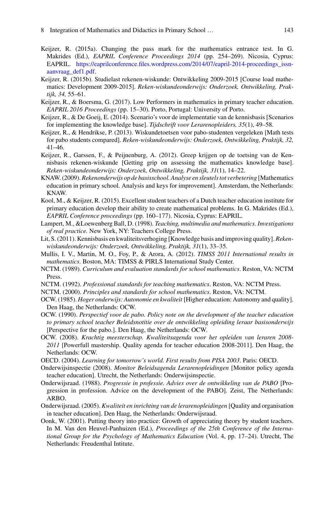- <span id="page-22-16"></span>Keijzer, R. (2015a). Changing the pass mark for the mathematics entrance test. In G. Makrides (Ed.), *EAPRIL Conference Proceedings 2014* (pp. 254–269). Nicosia, Cyprus: EAPRIL. [https://eaprilconference.files.wordpress.com/2014/07/eapril-2014-proceedings\\_issn](https://eaprilconference.files.wordpress.com/2014/07/eapril-2014-proceedings_issn-aanvraag_def1.pdf)aanvraag\_def1.pdf.
- <span id="page-22-17"></span>Keijzer, R. (2015b). Studielast rekenen-wiskunde: Ontwikkeling 2009-2015 [Course load mathematics: Development 2009-2015]. *Reken-wiskundeonderwijs: Onderzoek, Ontwikkeling, Praktijk, 34,* 55–61.
- <span id="page-22-20"></span>Keijzer, R., & Boersma, G. (2017). Low Performers in mathematics in primary teacher education. *EAPRIL 2016 Proceedings* (pp. 15–30). Porto, Portugal: University of Porto.
- <span id="page-22-21"></span>Keijzer, R., & De Goeij, E. (2014). Scenario's voor de implementatie van de kennisbasis [Scenarios for implementing the knowledge base]. *Tijdschrift voor Lerarenopleiders, 35*(1), 49–58.
- <span id="page-22-3"></span>Keijzer, R., & Hendrikse, P. (2013). Wiskundetoetsen voor pabo-studenten vergeleken [Math tests for pabo students compared]. *Reken-wiskundeonderwijs: Onderzoek, Ontwikkeling, Praktijk, 32,* 41–46.
- <span id="page-22-15"></span>Keijzer, R., Garssen, F., & Peijnenburg, A. (2012). Greep krijgen op de toetsing van de Kennisbasis rekenen-wiskunde [Getting grip on assessing the mathematics knowledge base]. *Reken-wiskundeonderwijs: Onderzoek, Ontwikkeling, Praktijk, 31*(1), 14–22.
- <span id="page-22-12"></span>KNAW. (2009).*Rekenonderwijs op de basisschool. Analyse en sleutels tot verbetering* [Mathematics education in primary school. Analysis and keys for improvement]. Amsterdam, the Netherlands: KNAW.
- <span id="page-22-19"></span>Kool, M., & Keijzer, R. (2015). Excellent student teachers of a Dutch teacher education institute for primary education develop their ability to create mathematical problems. In G. Makrides (Ed.), *EAPRIL Conference proceedings* (pp. 160–177). Nicosia, Cyprus: EAPRIL.
- <span id="page-22-8"></span>Lampert, M., &Loewenberg Ball, D. (1998). *Teaching, multimedia and mathematics. Investigations of real practice.* New York, NY: Teachers College Press.
- <span id="page-22-18"></span>Lit, S. (2011). Kennisbasis en kwaliteitsverhoging [Knowledge basis and improving quality]. *Rekenwiskundeonderwijs: Onderzoek, Ontwikkeling, Praktijk, 31*(1), 33–35.
- <span id="page-22-13"></span>Mullis, I. V., Martin, M. O., Foy, P., & Arora, A. (2012). *TIMSS 2011 International results in mathematics*. Boston, MA: TIMSS & PIRLS International Study Center.
- <span id="page-22-5"></span>NCTM. (1989). *Curriculum and evaluation standards for school mathematics*. Reston, VA: NCTM Press.
- <span id="page-22-6"></span>NCTM. (1992). *Professional standards for teaching mathematics*. Reston, VA: NCTM Press.
- <span id="page-22-7"></span>NCTM. (2000). *Principles and standards for school mathematics*. Reston, VA: NCTM.
- <span id="page-22-4"></span>OCW. (1985). *Hoger onderwijs: Autonomie en kwaliteit* [Higher education: Autonomy and quality]. Den Haag, the Netherlands: OCW.
- <span id="page-22-1"></span>OCW. (1990). *Perspectief voor de pabo. Policy note on the development of the teacher education to primary school teacher Beleidsnotitie over de ontwikkeling opleiding leraar basisonderwijs* [Perspective for the pabo.]. Den Haag, the Netherlands: OCW.
- <span id="page-22-14"></span>OCW. (2008). *Krachtig meesterschap. Kwaliteitsagenda voor het opleiden van leraren 2008- 2011* [Powerfull mastership. Quality agenda for teacher education 2008-2011]. Den Haag, the Netherlands: OCW.
- <span id="page-22-11"></span>OECD. (2004). *Learning for tomorrow's world. First results from PISA 2003*. Paris: OECD.
- <span id="page-22-10"></span>Onderwijsinspectie (2008). *Monitor Beleidsagenda Lerarenopleidingen* [Monitor policy agenda teacher education]. Utrecht, the Netherlands: Onderwijsinspectie.
- <span id="page-22-0"></span>Onderwijsraad. (1988). *Progressie in professie. Advies over de ontwikkeling van de PABO* [Progression in profession. Advice on the development of the PABO]. Zeist, The Netherlands: ARBO.
- <span id="page-22-2"></span>Onderwijsraad. (2005). *Kwaliteit en inrichting van de lerarenopleidingen* [Quality and organisation in teacher education]. Den Haag, the Netherlands: Onderwijsraad.
- <span id="page-22-9"></span>Oonk, W. (2001). Putting theory into practice: Growth of appreciating theory by student teachers. In M. Van den Heuvel-Panhuizen (Ed.), *Proceedings of the 25th Conference of the International Group for the Psychology of Mathematics Education* (Vol. 4, pp. 17–24). Utrecht, The Netherlands: Freudenthal Intitute.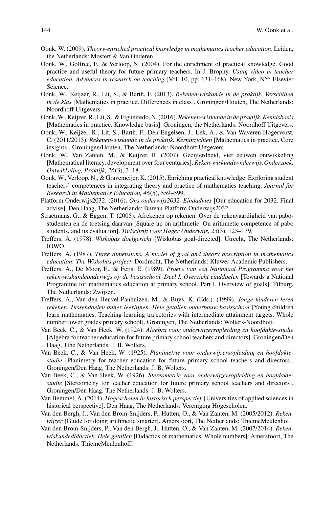- <span id="page-23-8"></span>Oonk, W. (2009). *Theory-enriched practical knowledge in mathematics teacher education*. Leiden, the Netherlands: Mostert & Van Onderen.
- <span id="page-23-7"></span>Oonk, W., Goffree, F., & Verloop, N. (2004). For the enrichment of practical knowledge. Good practice and useful theory for future primary teachers. In J. Brophy, *Using video in teacher education. Advances in research on teaching* (Vol. 10, pp. 131–168). New York, NY: Elsevier Science.
- <span id="page-23-14"></span>Oonk, W., Keijzer, R., Lit, S., & Barth, F. (2013). *Rekenen-wiskunde in de praktijk. Verschillen in de klas* [Mathematics in practice. Differences in class]. Groningen/Houten, The Netherlands: Noordhoff Uitgevers.
- <span id="page-23-16"></span>Oonk,W., Keijzer, R., Lit, S., & Figueiredo, N. (2016).*Rekenen-wiskunde in de praktijk. Kennisbasis* [Mathematics in practice. Knowledge basis]. Groningen, the Netherlands: Noordhoff Uitgevers.
- <span id="page-23-15"></span>Oonk, W., Keijzer, R., Lit, S., Barth, F., Den Engelsen, J., Lek, A., & Van Waveren Hogervorst, C. (2011/2015). *Rekenen-wiskunde in de praktijk. Kerninzichten* [Mathematics in practice. Core insights]. Groningen/Houten, The Netherlands: Noordhoff Uitgevers.
- <span id="page-23-11"></span>Oonk, W., Van Zanten, M., & Keijzer, R. (2007). Gecijferdheid, vier eeuwen ontwikkeling [Mathematical literacy, development over four centuries]. *Reken-wiskundeonderwijs:Onderzoek, Ontwikkeling, Praktijk, 26*(3), 3–18.
- <span id="page-23-17"></span>Oonk, W., Verloop, N., & Gravemeijer, K. (2015). Enriching practical knowledge: Exploring student teachers' competences in integrating theory and practice of mathematics teaching. *Journal for Research in Mathematics Education, 46*(5), 559–599.
- <span id="page-23-18"></span>Platform Onderwijs2032. (2016). *Ons onderwijs2032. Eindadvies* [Our education for 2032. Final advise]. Den Haag, The Netherlands: Bureau Platform Onderwijs2032.
- <span id="page-23-10"></span>Straetmans, G., & Eggen, T. (2005). Afrekenen op rekenen: Over de rekenvaardigheid van pabostudenten en de toetsing daarvan [Square up on arithmetic: On arithmetic competence of pabo students, and its evaluation]. *Tijdschrift voor Hoger Onderwijs, 23*(3), 123–139.
- <span id="page-23-3"></span>Treffers, A. (1978). *Wiskobas doelgericht* [Wiskobas goal-directed]. Utrecht, The Netherlands: IOWO.
- <span id="page-23-4"></span>Treffers, A. (1987). *Three dimensions. A model of goal and theory description in mathematics education: The Wiskobas project*. Dordrecht, The Netherlands: Kluwer Academic Publishers.
- <span id="page-23-6"></span>Treffers, A., De Moor, E., & Feijs, E. (1989). *Proeve van een Nationaal Programma voor het reken-wiskundeonderwijs op de basisschool. Deel I. Overzicht einddoelen* [Towards a National Programme for mathematics education at primary school. Part I. Overview of goals]. Tilburg, The Netherlands: Zwijsen.
- <span id="page-23-9"></span>Treffers, A., Van den Heuvel-Panhuizen, M., & Buys, K. (Eds.). (1999). *Jonge kinderen leren rekenen. Tussendoelen annex leerlijnen. Hele getallen onderbouw basisschool* [Young children learn mathematics. Teaching-learning trajectories with intermediate attainment targets. Whole number lower grades primary school]. Groningen, The Netherlands: Wolters-Noordhoff.
- <span id="page-23-0"></span>Van Beek, C., & Van Heek, W. (1924). *Algebra voor onderwijzersopleiding en hoofdakte-studie* [Algebra for teacher education for future primary school teachers and directors]. Groningen/Den Haag, Tthe Netherlands: J. B. Wolters.
- <span id="page-23-1"></span>Van Beek, C., & Van Heek, W. (1925). *Planimetrie voor onderwijzersopleiding en hoofdaktestudie* [Planimetry for teacher education for future primary school teachers and directors]. Groningen/Den Haag, The Netherlands: J. B. Wolters.
- <span id="page-23-2"></span>Van Beek, C., & Van Heek, W. (1926). *Stereometrie voor onderwijzersopleiding en hoofdaktestudie* [Stereometry for teacher education for future primary school teachers and directors]. Groningen/Den Haag, The Netherlands: J. B. Wolters.
- <span id="page-23-5"></span>Van Bemmel, A. (2014). *Hogescholen in historisch perspectief* [Universities of applied sciences in historical perspective]. Den Haag, The Netherlands: Vereniging Hogescholen.
- <span id="page-23-12"></span>Van den Bergh, J., Van den Brom-Snijders, P., Hutten, O., & Van Zanten, M. (2005/2012). *Rekenwijzer* [Guide for doing arithmetic smarter]. Amersfoort, The Netherlands: ThiemeMeulenhoff.
- <span id="page-23-13"></span>Van den Brom-Snijders, P., Van den Bergh, J., Hutten, O., & Van Zanten, M. (2007/2014). *Rekenwiskundedidactiek. Hele getallen* [Didactics of mathematics. Whole numbers]. Amersfoort, The Netherlands: ThiemeMeulenhoff.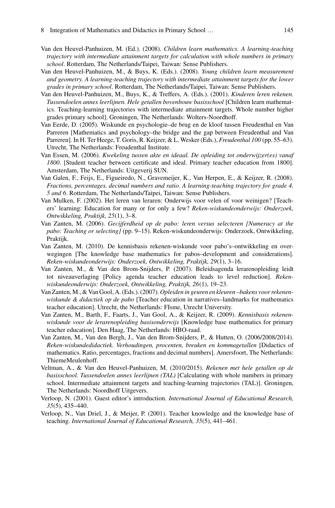- <span id="page-24-4"></span>Van den Heuvel-Panhuizen, M. (Ed.). (2008). *Children learn mathematics. A learning-teaching trajectory with intermediate attainment targets for calculation with whole numbers in primary school*. Rotterdam, The Netherlands/Taipei, Taiwan: Sense Publishers.
- <span id="page-24-5"></span>Van den Heuvel-Panhuizen, M., & Buys, K. (Eds.). (2008). *Young children learn measurement and geometry. A learning-teaching trajectory with intermediate attainment targets for the lower grades in primary school*. Rotterdam, The Netherlands/Taipei, Taiwan: Sense Publishers.
- <span id="page-24-7"></span>Van den Heuvel-Panhuizen, M., Buys, K., & Treffers, A. (Eds.). (2001). *Kinderen leren rekenen. Tussendoelen annex leerlijnen. Hele getallen bovenbouw basisschool* [Children learn mathematics. Teaching-learning trajectories with intermediate attainment targets. Whole number higher grades primary school]. Groningen, The Netherlands: Wolters-Noordhoff.
- <span id="page-24-2"></span>Van Eerde, D. (2005). Wiskunde en psychologie–de brug en de kloof tussen Freudenthal en Van Parreren [Mathematics and psychology–the bridge and the gap between Freudenthal and Van Parreren]. In H. Ter Heege, T. Goris, R. Keijzer, & L. Wesker (Eds.), *Freudenthal 100* (pp. 55–63). Utrecht, The Netherlands: Freudenthal Institute.
- <span id="page-24-0"></span>Van Essen, M. (2006). *Kwekeling tussen akte en ideaal. De opleiding tot onderwijzer(es) vanaf 1800*. [Student teacher between certificate and ideal. Primary teacher education from 1800]. Amsterdam, The Netherlands: Uitgeverij SUN.
- <span id="page-24-6"></span>Van Galen, F., Feijs, E., Figueiredo, N., Gravemeijer, K., Van Herpen, E., & Keijzer, R. (2008). *Fractions, percentages, decimal numbers and ratio. A learning-teaching trajectory for grade 4, 5 and 6*. Rotterdam, The Netherlands/Taipei, Taiwan: Sense Publishers.
- <span id="page-24-1"></span>Van Mulken, F. (2002). Het leren van leraren: Onderwijs voor velen of voor weinigen? [Teachers' learning: Education for many or for only a few? *Reken-wiskundeonderwijs: Onderzoek, Ontwikkeling, Praktijk, 25*(1), 3–8.
- <span id="page-24-10"></span>Van Zanten, M. (2006). *Gecijferdheid op de pabo: leren versus selecteren [Numeracy at the pabo: Teaching or selecting]* (pp. 9–15). Reken-wiskundeonderwijs: Onderzoek, Ontwikkeling, Praktijk.
- <span id="page-24-12"></span>Van Zanten, M. (2010). De kennisbasis rekenen-wiskunde voor pabo's–ontwikkeling en overwegingen [The knowledge base mathematics for pabos–development and considerations]. *Reken-wiskundeonderwijs: Onderzoek, Ontwikkeling, Praktijk, 29*(1), 3–16.
- <span id="page-24-9"></span>Van Zanten, M., & Van den Brom-Snijders, P. (2007). Beleidsagenda lerarenopleiding leidt tot niveauverlaging [Policy agenda teacher education leads to level reduction]. *Rekenwiskundeonderwijs: Onderzoek, Ontwikkeling, Praktijk, 26*(1), 19–23.
- <span id="page-24-8"></span>Van Zanten, M., & Van Gool, A. (Eds.). (2007). *Opleiden in geuren en kleuren –bakens voor rekenenwiskunde & didactiek op de pabo* [Teacher education in narratives–landmarks for mathematics teacher education]. Utrecht, the Netherlands: FIsme, Utrecht University.
- <span id="page-24-11"></span>Van Zanten, M., Barth, F., Faarts, J., Van Gool, A., & Keijzer, R. (2009). *Kennisbasis rekenenwiskunde voor de lerarenopleiding basisonderwijs* [Knowledge base mathematics for primary teacher education]. Den Haag, The Netherlands: HBO-raad.
- <span id="page-24-14"></span>Van Zanten, M., Van den Bergh, J., Van den Brom-Snijders, P., & Hutten, O. (2006/2008/2014). *Reken-wiskundedidactiek. Verhoudingen, procenten, breuken en kommagetallen* [Didactics of mathematics. Ratio, percentages, fractions and decimal numbers]. Amersfoort, The Netherlands: ThiemeMeulenhoff.
- <span id="page-24-13"></span>Veltman, A., & Van den Heuvel-Panhuizen, M. (2010/2015). *Rekenen met hele getallen op de basisschool. Tussendoelen annex leerlijnen (TAL)* [Calculating with whole numbers in primary school. Intermediate attainment targets and teaching-learning trajectories (TAL)]. Groningen, The Netherlands: Noordhoff Uitgevers.
- <span id="page-24-3"></span>Verloop, N. (2001). Guest editor's introduction. *International Journal of Educational Research, 35*(5), 435–440.
- <span id="page-24-15"></span>Verloop, N., Van Driel, J., & Meijer, P. (2001). Teacher knowledge and the knowledge base of teaching. *International Journal of Educational Research, 35*(5), 441–461.